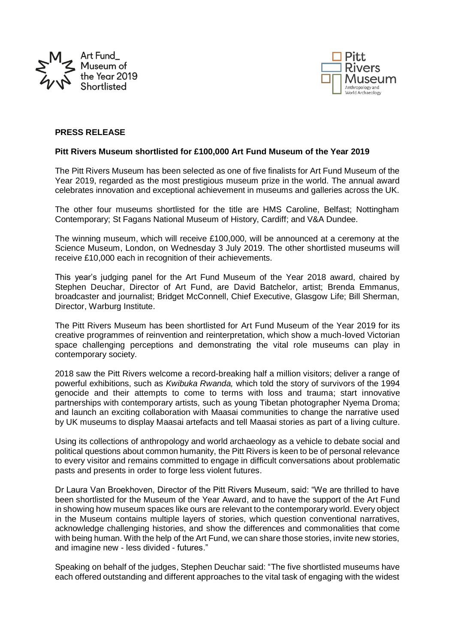



## **PRESS RELEASE**

#### **Pitt Rivers Museum shortlisted for £100,000 Art Fund Museum of the Year 2019**

The Pitt Rivers Museum has been selected as one of five finalists for Art Fund Museum of the Year 2019, regarded as the most prestigious museum prize in the world. The annual award celebrates innovation and exceptional achievement in museums and galleries across the UK.

The other four museums shortlisted for the title are HMS Caroline, Belfast; Nottingham Contemporary; St Fagans National Museum of History, Cardiff; and V&A Dundee.

The winning museum, which will receive £100,000, will be announced at a ceremony at the Science Museum, London, on Wednesday 3 July 2019. The other shortlisted museums will receive £10,000 each in recognition of their achievements.

This year's judging panel for the Art Fund Museum of the Year 2018 award, chaired by Stephen Deuchar, Director of Art Fund, are David Batchelor, artist; Brenda Emmanus, broadcaster and journalist; Bridget McConnell, Chief Executive, Glasgow Life; Bill Sherman, Director, Warburg Institute.

The Pitt Rivers Museum has been shortlisted for Art Fund Museum of the Year 2019 for its creative programmes of reinvention and reinterpretation, which show a much-loved Victorian space challenging perceptions and demonstrating the vital role museums can play in contemporary society.

2018 saw the Pitt Rivers welcome a record-breaking half a million visitors; deliver a range of powerful exhibitions, such as *Kwibuka Rwanda,* which told the story of survivors of the 1994 genocide and their attempts to come to terms with loss and trauma; start innovative partnerships with contemporary artists, such as young Tibetan photographer Nyema Droma; and launch an exciting collaboration with Maasai communities to change the narrative used by UK museums to display Maasai artefacts and tell Maasai stories as part of a living culture.

Using its collections of anthropology and world archaeology as a vehicle to debate social and political questions about common humanity, the Pitt Rivers is keen to be of personal relevance to every visitor and remains committed to engage in difficult conversations about problematic pasts and presents in order to forge less violent futures.

Dr Laura Van Broekhoven, Director of the Pitt Rivers Museum, said: "We are thrilled to have been shortlisted for the Museum of the Year Award, and to have the support of the Art Fund in showing how museum spaces like ours are relevant to the contemporary world. Every object in the Museum contains multiple layers of stories, which question conventional narratives, acknowledge challenging histories, and show the differences and commonalities that come with being human. With the help of the Art Fund, we can share those stories, invite new stories, and imagine new - less divided - futures."

Speaking on behalf of the judges, Stephen Deuchar said: "The five shortlisted museums have each offered outstanding and different approaches to the vital task of engaging with the widest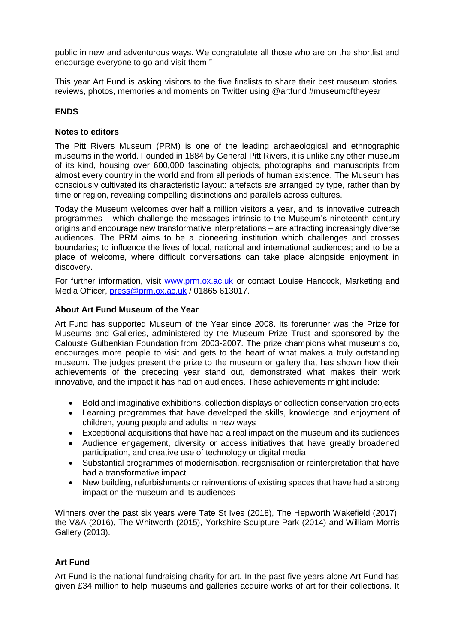public in new and adventurous ways. We congratulate all those who are on the shortlist and encourage everyone to go and visit them."

This year Art Fund is asking visitors to the five finalists to share their best museum stories, reviews, photos, memories and moments on Twitter using @artfund #museumoftheyear

# **ENDS**

# **Notes to editors**

The Pitt Rivers Museum (PRM) is one of the leading archaeological and ethnographic museums in the world. Founded in 1884 by General Pitt Rivers, it is unlike any other museum of its kind, housing over 600,000 fascinating objects, photographs and manuscripts from almost every country in the world and from all periods of human existence. The Museum has consciously cultivated its characteristic layout: artefacts are arranged by type, rather than by time or region, revealing compelling distinctions and parallels across cultures.

Today the Museum welcomes over half a million visitors a year, and its innovative outreach programmes – which challenge the messages intrinsic to the Museum's nineteenth-century origins and encourage new transformative interpretations – are attracting increasingly diverse audiences. The PRM aims to be a pioneering institution which challenges and crosses boundaries; to influence the lives of local, national and international audiences; and to be a place of welcome, where difficult conversations can take place alongside enjoyment in discovery.

For further information, visit [www.prm.ox.ac.uk](http://www.prm.ox.ac.uk/) or contact Louise Hancock, Marketing and Media Officer, [press@prm.ox.ac.uk](mailto:press@prm.ox.ac.uk) / 01865 613017.

#### **About Art Fund Museum of the Year**

Art Fund has supported Museum of the Year since 2008. Its forerunner was the Prize for Museums and Galleries, administered by the Museum Prize Trust and sponsored by the Calouste Gulbenkian Foundation from 2003-2007. The prize champions what museums do, encourages more people to visit and gets to the heart of what makes a truly outstanding museum. The judges present the prize to the museum or gallery that has shown how their achievements of the preceding year stand out, demonstrated what makes their work innovative, and the impact it has had on audiences. These achievements might include:

- Bold and imaginative exhibitions, collection displays or collection conservation projects
- Learning programmes that have developed the skills, knowledge and enjoyment of children, young people and adults in new ways
- Exceptional acquisitions that have had a real impact on the museum and its audiences
- Audience engagement, diversity or access initiatives that have greatly broadened participation, and creative use of technology or digital media
- Substantial programmes of modernisation, reorganisation or reinterpretation that have had a transformative impact
- New building, refurbishments or reinventions of existing spaces that have had a strong impact on the museum and its audiences

Winners over the past six years were Tate St Ives (2018), The Hepworth Wakefield (2017), the V&A (2016), The Whitworth (2015), Yorkshire Sculpture Park (2014) and William Morris Gallery (2013).

## **Art Fund**

Art Fund is the national fundraising charity for art. In the past five years alone Art Fund has given £34 million to help museums and galleries acquire works of art for their collections. It